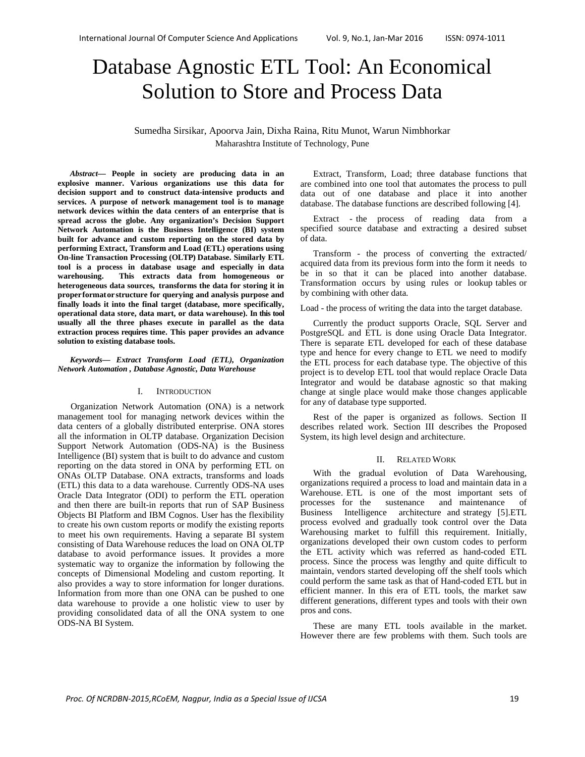# Database Agnostic ETL Tool: An Economical Solution to Store and Process Data

Sumedha Sirsikar, Apoorva Jain, Dixha Raina, Ritu Munot, Warun Nimbhorkar Maharashtra Institute of Technology, Pune

*Abstract***— People in society are producing data in an explosive manner. Various organizations use this data for decision support and to construct data-intensive products and services. A purpose of network management tool is to manage network devices within the data centers of an enterprise that is spread across the globe. Any organization's Decision Support Network Automation is the Business Intelligence (BI) system built for advance and custom reporting on the stored data by performing Extract, Transform and Load (ETL) operations using On-line Transaction Processing (OLTP) Database. Similarly ETL tool is a process in database usage and especially in data warehousing. This extracts data from homogeneous or heterogeneous data sources, transforms the data for storing it in proper format or structure for querying and analysis purpose and finally loads it into the final target (database, more specifically, operational data store, data mart, or data warehouse). In this tool usually all the three phases execute in parallel as the data extraction process requires time. This paper provides an advance solution to existing database tools.** 

#### *Keywords— Extract Transform Load (ETL), Organization Network Automation , Database Agnostic, Data Warehouse*

## I. INTRODUCTION

Organization Network Automation (ONA) is a network management tool for managing network devices within the data centers of a globally distributed enterprise. ONA stores all the information in OLTP database. Organization Decision Support Network Automation (ODS-NA) is the Business Intelligence (BI) system that is built to do advance and custom reporting on the data stored in ONA by performing ETL on ONAs OLTP Database. ONA extracts, transforms and loads (ETL) this data to a data warehouse. Currently ODS-NA uses Oracle Data Integrator (ODI) to perform the ETL operation and then there are built-in reports that run of SAP Business Objects BI Platform and IBM Cognos. User has the flexibility to create his own custom reports or modify the existing reports to meet his own requirements. Having a separate BI system consisting of Data Warehouse reduces the load on ONA OLTP database to avoid performance issues. It provides a more systematic way to organize the information by following the concepts of Dimensional Modeling and custom reporting. It also provides a way to store information for longer durations. Information from more than one ONA can be pushed to one data warehouse to provide a one holistic view to user by providing consolidated data of all the ONA system to one ODS-NA BI System.

Extract, Transform, Load; three database functions that are combined into one tool that automates the process to pull data out of one database and place it into another database. The database functions are described following [4].

Extract - the process of reading data from a specified source database and extracting a desired subset of data.

Transform - the process of converting the extracted/ acquired data from its previous form into the form it needs to be in so that it can be placed into another database. Transformation occurs by using rules or lookup tables or by combining with other data.

Load - the process of writing the data into the target database.

Currently the product supports Oracle, SQL Server and PostgreSQL and ETL is done using Oracle Data Integrator. There is separate ETL developed for each of these database type and hence for every change to ETL we need to modify the ETL process for each database type. The objective of this project is to develop ETL tool that would replace Oracle Data Integrator and would be database agnostic so that making change at single place would make those changes applicable for any of database type supported.

Rest of the paper is organized as follows. Section II describes related work. Section III describes the Proposed System, its high level design and architecture.

## II. RELATED WORK

With the gradual evolution of Data Warehousing, organizations required a process to load and maintain data in a Warehouse. ETL is one of the most important sets of processes for the sustenance and maintenance of Business Intelligence architecture and strategy [5].ETL process evolved and gradually took control over the Data Warehousing market to fulfill this requirement. Initially, organizations developed their own custom codes to perform the ETL activity which was referred as hand-coded ETL process. Since the process was lengthy and quite difficult to maintain, vendors started developing off the shelf tools which could perform the same task as that of Hand-coded ETL but in efficient manner. In this era of ETL tools, the market saw different generations, different types and tools with their own pros and cons.

These are many ETL tools available in the market. However there are few problems with them. Such tools are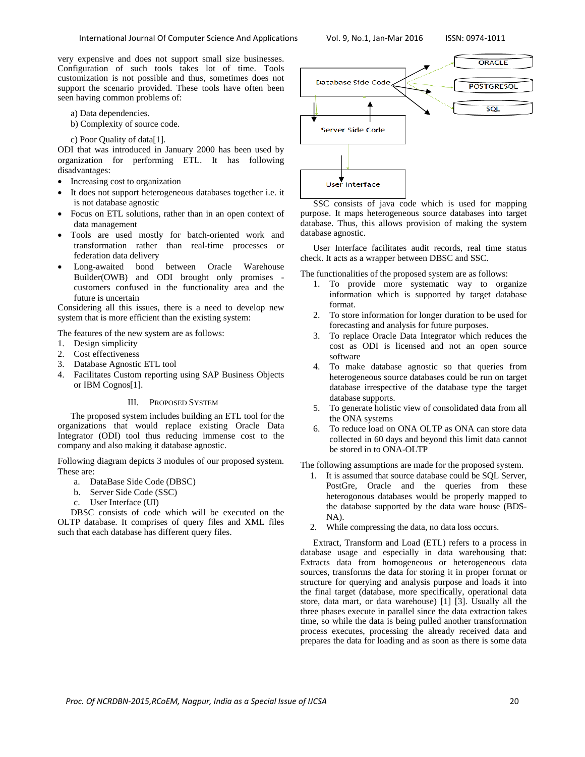very expensive and does not support small size businesses. Configuration of such tools takes lot of time. Tools customization is not possible and thus, sometimes does not support the scenario provided. These tools have often been seen having common problems of:

a) Data dependencies.

b) Complexity of source code.

c) Poor Quality of data[1].

ODI that was introduced in January 2000 has been used by organization for performing ETL. It has following disadvantages:

- Increasing cost to organization
- It does not support heterogeneous databases together i.e. it is not database agnostic
- Focus on ETL solutions, rather than in an open context of data management
- Tools are used mostly for batch-oriented work and transformation rather than real-time processes or federation data delivery
- Long-awaited bond between Oracle Warehouse Builder(OWB) and ODI brought only promises customers confused in the functionality area and the future is uncertain

Considering all this issues, there is a need to develop new system that is more efficient than the existing system:

The features of the new system are as follows:

- 1. Design simplicity
- 2. Cost effectiveness
- 3. Database Agnostic ETL tool
- 4. Facilitates Custom reporting using SAP Business Objects or IBM Cognos[1].

## III. PROPOSED SYSTEM

The proposed system includes building an ETL tool for the organizations that would replace existing Oracle Data Integrator (ODI) tool thus reducing immense cost to the company and also making it database agnostic.

Following diagram depicts 3 modules of our proposed system. These are:

- a. DataBase Side Code (DBSC)
- b. Server Side Code (SSC)
- c. User Interface (UI)

DBSC consists of code which will be executed on the OLTP database. It comprises of query files and XML files such that each database has different query files.



SSC consists of java code which is used for mapping purpose. It maps heterogeneous source databases into target database. Thus, this allows provision of making the system database agnostic.

User Interface facilitates audit records, real time status check. It acts as a wrapper between DBSC and SSC.

The functionalities of the proposed system are as follows:

- 1. To provide more systematic way to organize information which is supported by target database format.
- 2. To store information for longer duration to be used for forecasting and analysis for future purposes.
- 3. To replace Oracle Data Integrator which reduces the cost as ODI is licensed and not an open source software
- 4. To make database agnostic so that queries from heterogeneous source databases could be run on target database irrespective of the database type the target database supports.
- 5. To generate holistic view of consolidated data from all the ONA systems
- 6. To reduce load on ONA OLTP as ONA can store data collected in 60 days and beyond this limit data cannot be stored in to ONA-OLTP

The following assumptions are made for the proposed system.

- 1. It is assumed that source database could be SQL Server, PostGre, Oracle and the queries from these heterogonous databases would be properly mapped to the database supported by the data ware house (BDS-NA).
- 2. While compressing the data, no data loss occurs.

Extract, Transform and Load (ETL) refers to a process in database usage and especially in data warehousing that: Extracts data from homogeneous or heterogeneous data sources, transforms the data for storing it in proper format or structure for querying and analysis purpose and loads it into the final target (database, more specifically, operational data store, data mart, or data warehouse) [1] [3]. Usually all the three phases execute in parallel since the data extraction takes time, so while the data is being pulled another transformation process executes, processing the already received data and prepares the data for loading and as soon as there is some data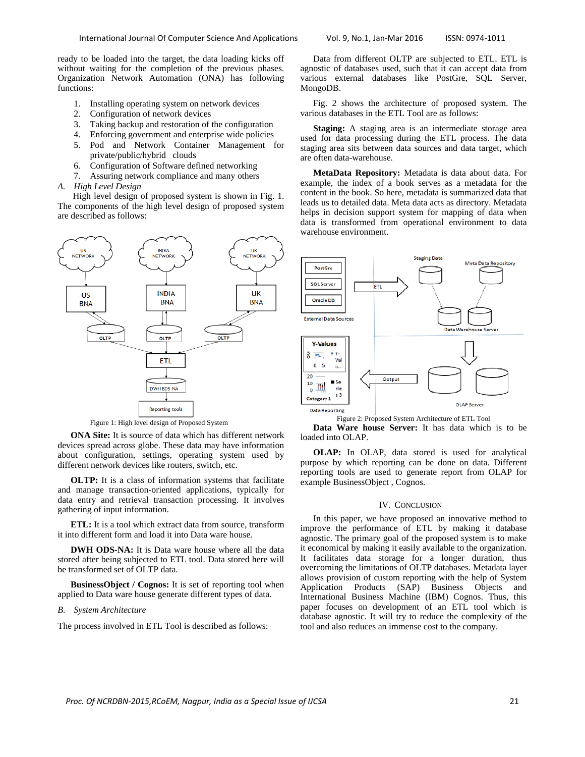ready to be loaded into the target, the data loading kicks off without waiting for the completion of the previous phases. Organization Network Automation (ONA) has following functions:

- 1. Installing operating system on network devices
- 2. Configuration of network devices
- 3. Taking backup and restoration of the configuration
- 4. Enforcing government and enterprise wide policies
- 5. Pod and Network Container Management for private/public/hybrid clouds
- 6. Configuration of Software defined networking
- 7. Assuring network compliance and many others
- *A. High Level Design*

 High level design of proposed system is shown in Fig. 1. The components of the high level design of proposed system are described as follows:



Figure 1: High level design of Proposed System

**ONA Site:** It is source of data which has different network devices spread across globe. These data may have information about configuration, settings, operating system used by different network devices like routers, switch, etc.

**OLTP:** It is a class of information systems that facilitate and manage transaction-oriented applications, typically for data entry and retrieval transaction processing. It involves gathering of input information.

**ETL:** It is a tool which extract data from source, transform it into different form and load it into Data ware house.

**DWH ODS-NA:** It is Data ware house where all the data stored after being subjected to ETL tool. Data stored here will be transformed set of OLTP data.

**BusinessObject / Cognos:** It is set of reporting tool when applied to Data ware house generate different types of data.

## *B. System Architecture*

The process involved in ETL Tool is described as follows:

Data from different OLTP are subjected to ETL. ETL is agnostic of databases used, such that it can accept data from various external databases like PostGre, SQL Server, MongoDB.

Fig. 2 shows the architecture of proposed system. The various databases in the ETL Tool are as follows:

**Staging:** A staging area is an intermediate storage area used for data processing during the ETL process. The data staging area sits between data sources and data target, which are often data-warehouse.

**MetaData Repository:** Metadata is data about data. For example, the index of a book serves as a metadata for the content in the book. So here, metadata is summarized data that leads us to detailed data. Meta data acts as directory. Metadata helps in decision support system for mapping of data when data is transformed from operational environment to data warehouse environment.



Figure 2: Proposed System Architecture of ETL Tool

**Data Ware house Server:** It has data which is to be loaded into OLAP.

**OLAP:** In OLAP, data stored is used for analytical purpose by which reporting can be done on data. Different reporting tools are used to generate report from OLAP for example BusinessObject , Cognos.

#### IV. CONCLUSION

In this paper, we have proposed an innovative method to improve the performance of ETL by making it database agnostic. The primary goal of the proposed system is to make it economical by making it easily available to the organization. It facilitates data storage for a longer duration, thus overcoming the limitations of OLTP databases. Metadata layer allows provision of custom reporting with the help of System Application Products (SAP) Business Objects and International Business Machine (IBM) Cognos. Thus, this paper focuses on development of an ETL tool which is database agnostic. It will try to reduce the complexity of the tool and also reduces an immense cost to the company.